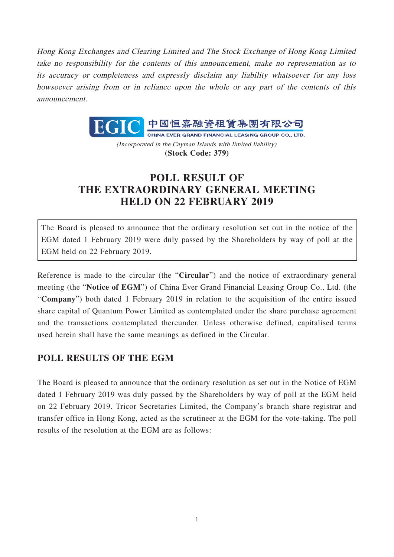Hong Kong Exchanges and Clearing Limited and The Stock Exchange of Hong Kong Limited take no responsibility for the contents of this announcement, make no representation as to its accuracy or completeness and expressly disclaim any liability whatsoever for any loss howsoever arising from or in reliance upon the whole or any part of the contents of this announcement.



(Incorporated in the Cayman Islands with limited liability) **(Stock Code: 379)**

## **POLL RESULT OF THE EXTRAORDINARY GENERAL MEETING HELD ON 22 FEBRUARY 2019**

The Board is pleased to announce that the ordinary resolution set out in the notice of the EGM dated 1 February 2019 were duly passed by the Shareholders by way of poll at the EGM held on 22 February 2019.

Reference is made to the circular (the "**Circular**") and the notice of extraordinary general meeting (the "**Notice of EGM**") of China Ever Grand Financial Leasing Group Co., Ltd. (the "**Company**") both dated 1 February 2019 in relation to the acquisition of the entire issued share capital of Quantum Power Limited as contemplated under the share purchase agreement and the transactions contemplated thereunder. Unless otherwise defined, capitalised terms used herein shall have the same meanings as defined in the Circular.

## **POLL RESULTS OF THE EGM**

The Board is pleased to announce that the ordinary resolution as set out in the Notice of EGM dated 1 February 2019 was duly passed by the Shareholders by way of poll at the EGM held on 22 February 2019. Tricor Secretaries Limited, the Company's branch share registrar and transfer office in Hong Kong, acted as the scrutineer at the EGM for the vote-taking. The poll results of the resolution at the EGM are as follows: